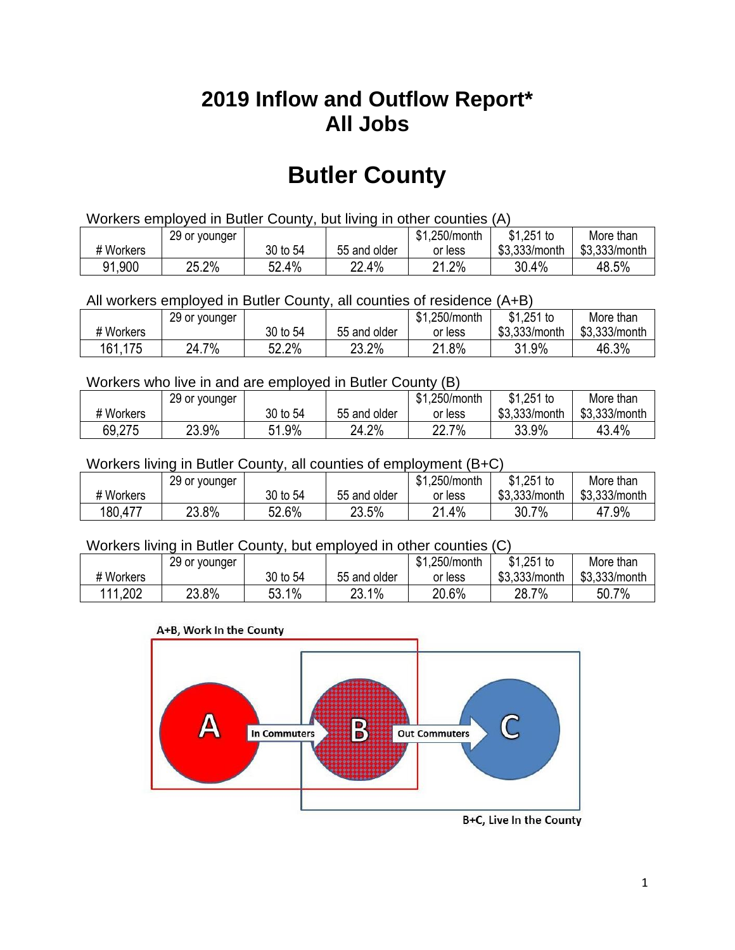## **2019 Inflow and Outflow Report\* All Jobs**

# **Butler County**

| Workers employed in Butler County, but living in other counties (A) |       |          |              |         |               |               |  |  |  |
|---------------------------------------------------------------------|-------|----------|--------------|---------|---------------|---------------|--|--|--|
| \$1.251 to<br>\$1.250/month<br>29 or younger<br>More than           |       |          |              |         |               |               |  |  |  |
| # Workers                                                           |       | 30 to 54 | 55 and older | or less | \$3,333/month | \$3,333/month |  |  |  |
| 91,900                                                              | 25.2% | 52.4%    | 22.4%        | 21.2%   | 30.4%         | 48.5%         |  |  |  |

All workers employed in Butler County, all counties of residence (A+B)

|           | 29 or younger |          |              | \$1,250/month | $$1,251$ to   | More than     |
|-----------|---------------|----------|--------------|---------------|---------------|---------------|
| # Workers |               | 30 to 54 | 55 and older | or less       | \$3,333/month | \$3,333/month |
| 161,175   | 24.7%         | 52.2%    | 23.2%        | 21.8%         | 31.9%         | 46.3%         |

#### Workers who live in and are employed in Butler County (B)

|           | 29 or younger |          |              | \$1,250/month    | $$1,251$ to   | More than     |
|-----------|---------------|----------|--------------|------------------|---------------|---------------|
| # Workers |               | 30 to 54 | 55 and older | or less          | \$3,333/month | \$3,333/month |
| 69,275    | 23.9%         | 51.9%    | 24.2%        | 7%<br>∩∩<br>22.I | 33.9%         | 43.4%         |

#### Workers living in Butler County, all counties of employment (B+C)

|           | 29 or younger |          |              | \$1,250/month | \$1,251 to    | More than     |
|-----------|---------------|----------|--------------|---------------|---------------|---------------|
| # Workers |               | 30 to 54 | 55 and older | or less       | \$3,333/month | \$3,333/month |
| 180,477   | 23.8%         | 52.6%    | 23.5%        | . 4%<br>04    | 30.7%         | 47.9%         |

#### Workers living in Butler County, but employed in other counties (C)

|           | 29 or younger |               |              | \$1,250/month | $$1,251$ to   | More than     |
|-----------|---------------|---------------|--------------|---------------|---------------|---------------|
| # Workers |               | 30 to 54      | 55 and older | or less       | \$3,333/month | \$3,333/month |
| 111,202   | 23.8%         | $1\%$<br>53.1 | 23.1%        | 20.6%         | 28.7<br>7%    | 50.7%         |

#### A+B, Work In the County